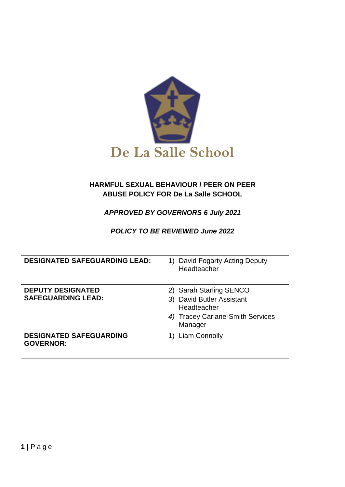

## **HARMFUL SEXUAL BEHAVIOUR / PEER ON PEER ABUSE POLICY FOR De La Salle SCHOOL**

# *APPROVED BY GOVERNORS 6 July 2021*

# *POLICY TO BE REVIEWED June 2022*

| <b>DESIGNATED SAFEGUARDING LEAD:</b>                  | David Fogarty Acting Deputy<br>Headteacher                                                                         |
|-------------------------------------------------------|--------------------------------------------------------------------------------------------------------------------|
| <b>DEPUTY DESIGNATED</b><br><b>SAFEGUARDING LEAD:</b> | 2) Sarah Starling SENCO<br>3) David Butler Assistant<br>Headteacher<br>4) Tracey Carlane-Smith Services<br>Manager |
| <b>DESIGNATED SAFEGUARDING</b><br><b>GOVERNOR:</b>    | <b>Liam Connolly</b>                                                                                               |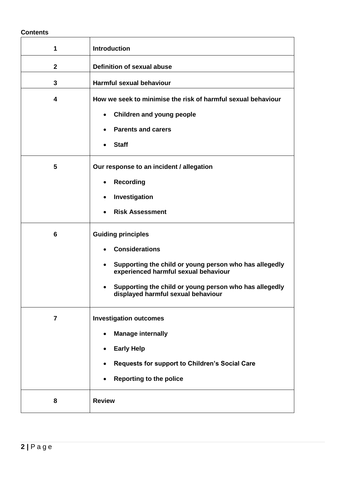#### **Contents**

| 1                       | <b>Introduction</b>                                                                                                                                                                                                                                                            |
|-------------------------|--------------------------------------------------------------------------------------------------------------------------------------------------------------------------------------------------------------------------------------------------------------------------------|
| $\mathbf 2$             | <b>Definition of sexual abuse</b>                                                                                                                                                                                                                                              |
| $\mathbf{3}$            | Harmful sexual behaviour                                                                                                                                                                                                                                                       |
| $\overline{\mathbf{4}}$ | How we seek to minimise the risk of harmful sexual behaviour<br><b>Children and young people</b><br>$\bullet$<br><b>Parents and carers</b><br>$\bullet$<br><b>Staff</b>                                                                                                        |
| 5                       | Our response to an incident / allegation<br><b>Recording</b><br>$\bullet$<br>Investigation<br>$\bullet$<br><b>Risk Assessment</b><br>$\bullet$                                                                                                                                 |
| $6\phantom{1}$          | <b>Guiding principles</b><br><b>Considerations</b><br>Supporting the child or young person who has allegedly<br>$\bullet$<br>experienced harmful sexual behaviour<br>Supporting the child or young person who has allegedly<br>$\bullet$<br>displayed harmful sexual behaviour |
| $\overline{7}$          | <b>Investigation outcomes</b><br><b>Manage internally</b><br>$\bullet$<br><b>Early Help</b><br>$\bullet$<br>Requests for support to Children's Social Care<br><b>Reporting to the police</b><br>$\bullet$                                                                      |
| 8                       | <b>Review</b>                                                                                                                                                                                                                                                                  |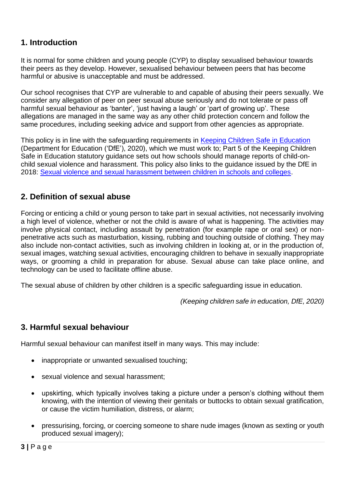# **1. Introduction**

It is normal for some children and young people (CYP) to display sexualised behaviour towards their peers as they develop. However, sexualised behaviour between peers that has become harmful or abusive is unacceptable and must be addressed.

Our school recognises that CYP are vulnerable to and capable of abusing their peers sexually. We consider any allegation of peer on peer sexual abuse seriously and do not tolerate or pass off harmful sexual behaviour as 'banter', 'just having a laugh' or 'part of growing up'. These allegations are managed in the same way as any other child protection concern and follow the same procedures, including seeking advice and support from other agencies as appropriate.

This policy is in line with the safeguarding requirements in [Keeping Children Safe in Education](https://eur02.safelinks.protection.outlook.com/?url=https%3A%2F%2Fassets.publishing.service.gov.uk%2Fgovernment%2Fuploads%2Fsystem%2Fuploads%2Fattachment_data%2Ffile%2F954314%2FKeeping_children_safe_in_education_2020_-_Update_-_January_2021.pdf&data=04%7C01%7C%7Cf2e9fff87b2149eb72d208d8fe84ac80%7Ca8b4324f155c4215a0f17ed8cc9a992f%7C0%7C0%7C637539193225028841%7CUnknown%7CTWFpbGZsb3d8eyJWIjoiMC4wLjAwMDAiLCJQIjoiV2luMzIiLCJBTiI6Ik1haWwiLCJXVCI6Mn0%3D%7C1000&sdata=VnfJGiVrh%2BweNNu%2BiwjdcWv8RJzWF6EvSn1d8NGC7oE%3D&reserved=0) (Department for Education ('DfE'), 2020), which we must work to; Part 5 of the Keeping Children Safe in Education statutory guidance sets out how schools should manage reports of child-onchild sexual violence and harassment. This policy also links to the guidance issued by the DfE in 2018: [Sexual violence and sexual harassment between children in schools and colleges.](https://eur02.safelinks.protection.outlook.com/?url=https%3A%2F%2Fwww.gov.uk%2Fgovernment%2Fpublications%2Fsexual-violence-and-sexual-harassment-between-children-in-schools-and-colleges&data=04%7C01%7C%7Cf2e9fff87b2149eb72d208d8fe84ac80%7Ca8b4324f155c4215a0f17ed8cc9a992f%7C0%7C0%7C637539193225038798%7CUnknown%7CTWFpbGZsb3d8eyJWIjoiMC4wLjAwMDAiLCJQIjoiV2luMzIiLCJBTiI6Ik1haWwiLCJXVCI6Mn0%3D%7C1000&sdata=ZYrHV9%2FJUndIMjNVX505sSFT9UICMSs637uOd9Oag4Q%3D&reserved=0)

# **2. Definition of sexual abuse**

Forcing or enticing a child or young person to take part in sexual activities, not necessarily involving a high level of violence, whether or not the child is aware of what is happening. The activities may involve physical contact, including assault by penetration (for example rape or oral sex) or nonpenetrative acts such as masturbation, kissing, rubbing and touching outside of clothing. They may also include non-contact activities, such as involving children in looking at, or in the production of, sexual images, watching sexual activities, encouraging children to behave in sexually inappropriate ways, or grooming a child in preparation for abuse. Sexual abuse can take place online, and technology can be used to facilitate offline abuse.

The sexual abuse of children by other children is a specific safeguarding issue in education.

*(Keeping children safe in education, DfE, 2020)*

# **3. Harmful sexual behaviour**

Harmful sexual behaviour can manifest itself in many ways. This may include:

- inappropriate or unwanted sexualised touching:
- sexual violence and sexual harassment;
- upskirting, which typically involves taking a picture under a person's clothing without them knowing, with the intention of viewing their genitals or buttocks to obtain sexual gratification, or cause the victim humiliation, distress, or alarm;
- pressurising, forcing, or coercing someone to share nude images (known as sexting or youth produced sexual imagery);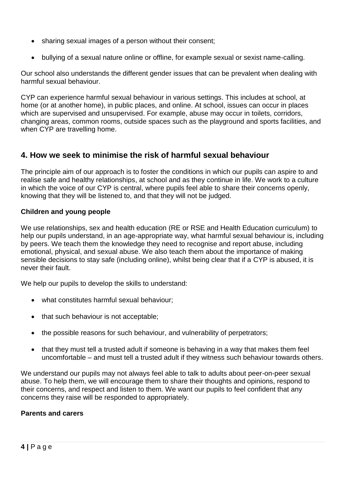- sharing sexual images of a person without their consent;
- bullying of a sexual nature online or offline, for example sexual or sexist name-calling.

Our school also understands the different gender issues that can be prevalent when dealing with harmful sexual behaviour.

CYP can experience harmful sexual behaviour in various settings. This includes at school, at home (or at another home), in public places, and online. At school, issues can occur in places which are supervised and unsupervised. For example, abuse may occur in toilets, corridors, changing areas, common rooms, outside spaces such as the playground and sports facilities, and when CYP are travelling home.

# **4. How we seek to minimise the risk of harmful sexual behaviour**

The principle aim of our approach is to foster the conditions in which our pupils can aspire to and realise safe and healthy relationships, at school and as they continue in life. We work to a culture in which the voice of our CYP is central, where pupils feel able to share their concerns openly, knowing that they will be listened to, and that they will not be judged.

### **Children and young people**

We use relationships, sex and health education (RE or RSE and Health Education curriculum) to help our pupils understand, in an age-appropriate way, what harmful sexual behaviour is, including by peers. We teach them the knowledge they need to recognise and report abuse, including emotional, physical, and sexual abuse. We also teach them about the importance of making sensible decisions to stay safe (including online), whilst being clear that if a CYP is abused, it is never their fault.

We help our pupils to develop the skills to understand:

- what constitutes harmful sexual behaviour;
- that such behaviour is not acceptable:
- the possible reasons for such behaviour, and vulnerability of perpetrators;
- that they must tell a trusted adult if someone is behaving in a way that makes them feel uncomfortable – and must tell a trusted adult if they witness such behaviour towards others.

We understand our pupils may not always feel able to talk to adults about peer-on-peer sexual abuse. To help them, we will encourage them to share their thoughts and opinions, respond to their concerns, and respect and listen to them. We want our pupils to feel confident that any concerns they raise will be responded to appropriately.

### **Parents and carers**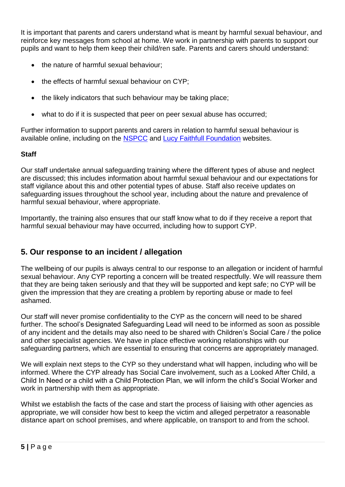It is important that parents and carers understand what is meant by harmful sexual behaviour, and reinforce key messages from school at home. We work in partnership with parents to support our pupils and want to help them keep their child/ren safe. Parents and carers should understand:

- the nature of harmful sexual behaviour;
- the effects of harmful sexual behaviour on CYP;
- the likely indicators that such behaviour may be taking place;
- what to do if it is suspected that peer on peer sexual abuse has occurred;

Further information to support parents and carers in relation to harmful sexual behaviour is available online, including on the [NSPCC](https://www.nspcc.org.uk/what-is-child-abuse/types-of-abuse/child-sexual-abuse/#support) and [Lucy Faithfull Foundation](https://www.lucyfaithfull.org.uk/parents-protect.htm) websites.

# **Staff**

Our staff undertake annual safeguarding training where the different types of abuse and neglect are discussed; this includes information about harmful sexual behaviour and our expectations for staff vigilance about this and other potential types of abuse. Staff also receive updates on safeguarding issues throughout the school year, including about the nature and prevalence of harmful sexual behaviour, where appropriate.

Importantly, the training also ensures that our staff know what to do if they receive a report that harmful sexual behaviour may have occurred, including how to support CYP.

# **5. Our response to an incident / allegation**

The wellbeing of our pupils is always central to our response to an allegation or incident of harmful sexual behaviour. Any CYP reporting a concern will be treated respectfully. We will reassure them that they are being taken seriously and that they will be supported and kept safe; no CYP will be given the impression that they are creating a problem by reporting abuse or made to feel ashamed.

Our staff will never promise confidentiality to the CYP as the concern will need to be shared further. The school's Designated Safeguarding Lead will need to be informed as soon as possible of any incident and the details may also need to be shared with Children's Social Care / the police and other specialist agencies. We have in place effective working relationships with our safeguarding partners, which are essential to ensuring that concerns are appropriately managed.

We will explain next steps to the CYP so they understand what will happen, including who will be informed. Where the CYP already has Social Care involvement, such as a Looked After Child, a Child In Need or a child with a Child Protection Plan, we will inform the child's Social Worker and work in partnership with them as appropriate.

Whilst we establish the facts of the case and start the process of liaising with other agencies as appropriate, we will consider how best to keep the victim and alleged perpetrator a reasonable distance apart on school premises, and where applicable, on transport to and from the school.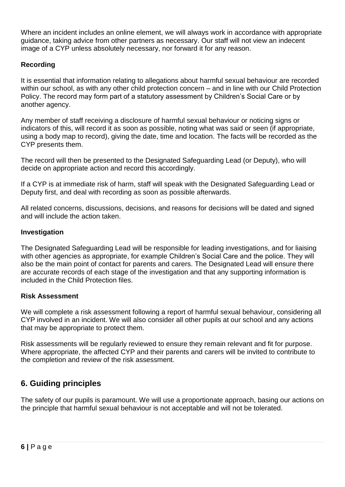Where an incident includes an online element, we will always work in accordance with appropriate guidance, taking advice from other partners as necessary. Our staff will not view an indecent image of a CYP unless absolutely necessary, nor forward it for any reason.

## **Recording**

It is essential that information relating to allegations about harmful sexual behaviour are recorded within our school, as with any other child protection concern – and in line with our Child Protection Policy. The record may form part of a statutory assessment by Children's Social Care or by another agency.

Any member of staff receiving a disclosure of harmful sexual behaviour or noticing signs or indicators of this, will record it as soon as possible, noting what was said or seen (if appropriate, using a body map to record), giving the date, time and location. The facts will be recorded as the CYP presents them.

The record will then be presented to the Designated Safeguarding Lead (or Deputy), who will decide on appropriate action and record this accordingly.

If a CYP is at immediate risk of harm, staff will speak with the Designated Safeguarding Lead or Deputy first, and deal with recording as soon as possible afterwards.

All related concerns, discussions, decisions, and reasons for decisions will be dated and signed and will include the action taken.

### **Investigation**

The Designated Safeguarding Lead will be responsible for leading investigations, and for liaising with other agencies as appropriate, for example Children's Social Care and the police. They will also be the main point of contact for parents and carers. The Designated Lead will ensure there are accurate records of each stage of the investigation and that any supporting information is included in the Child Protection files.

### **Risk Assessment**

We will complete a risk assessment following a report of harmful sexual behaviour, considering all CYP involved in an incident. We will also consider all other pupils at our school and any actions that may be appropriate to protect them.

Risk assessments will be regularly reviewed to ensure they remain relevant and fit for purpose. Where appropriate, the affected CYP and their parents and carers will be invited to contribute to the completion and review of the risk assessment.

# **6. Guiding principles**

The safety of our pupils is paramount. We will use a proportionate approach, basing our actions on the principle that harmful sexual behaviour is not acceptable and will not be tolerated.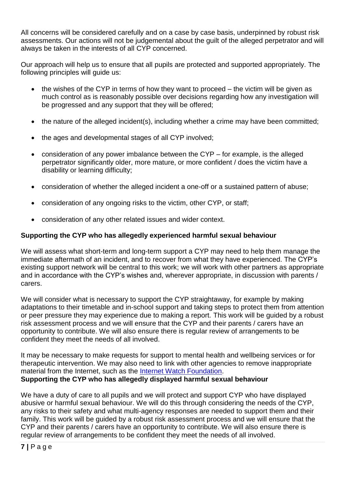All concerns will be considered carefully and on a case by case basis, underpinned by robust risk assessments. Our actions will not be judgemental about the guilt of the alleged perpetrator and will always be taken in the interests of all CYP concerned.

Our approach will help us to ensure that all pupils are protected and supported appropriately. The following principles will guide us:

- the wishes of the CYP in terms of how they want to proceed the victim will be given as much control as is reasonably possible over decisions regarding how any investigation will be progressed and any support that they will be offered;
- the nature of the alleged incident(s), including whether a crime may have been committed;
- the ages and developmental stages of all CYP involved;
- consideration of any power imbalance between the CYP for example, is the alleged perpetrator significantly older, more mature, or more confident / does the victim have a disability or learning difficulty;
- consideration of whether the alleged incident a one-off or a sustained pattern of abuse;
- consideration of any ongoing risks to the victim, other CYP, or staff;
- consideration of any other related issues and wider context.

## **Supporting the CYP who has allegedly experienced harmful sexual behaviour**

We will assess what short-term and long-term support a CYP may need to help them manage the immediate aftermath of an incident, and to recover from what they have experienced. The CYP's existing support network will be central to this work; we will work with other partners as appropriate and in accordance with the CYP's wishes and, wherever appropriate, in discussion with parents / carers.

We will consider what is necessary to support the CYP straightaway, for example by making adaptations to their timetable and in-school support and taking steps to protect them from attention or peer pressure they may experience due to making a report. This work will be guided by a robust risk assessment process and we will ensure that the CYP and their parents / carers have an opportunity to contribute. We will also ensure there is regular review of arrangements to be confident they meet the needs of all involved.

It may be necessary to make requests for support to mental health and wellbeing services or for therapeutic intervention. We may also need to link with other agencies to remove inappropriate material from the Internet, such as the [Internet Watch Foundation.](https://www.iwf.org.uk/) **Supporting the CYP who has allegedly displayed harmful sexual behaviour**

We have a duty of care to all pupils and we will protect and support CYP who have displayed abusive or harmful sexual behaviour. We will do this through considering the needs of the CYP, any risks to their safety and what multi-agency responses are needed to support them and their family. This work will be guided by a robust risk assessment process and we will ensure that the CYP and their parents / carers have an opportunity to contribute. We will also ensure there is regular review of arrangements to be confident they meet the needs of all involved.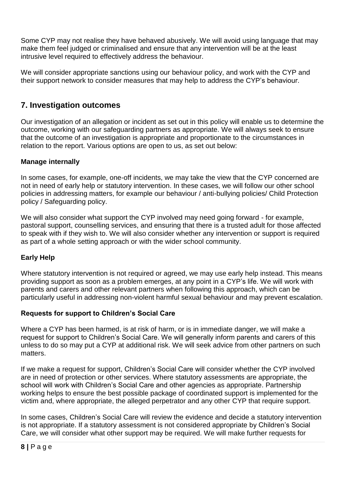Some CYP may not realise they have behaved abusively. We will avoid using language that may make them feel judged or criminalised and ensure that any intervention will be at the least intrusive level required to effectively address the behaviour.

We will consider appropriate sanctions using our behaviour policy, and work with the CYP and their support network to consider measures that may help to address the CYP's behaviour.

# **7. Investigation outcomes**

Our investigation of an allegation or incident as set out in this policy will enable us to determine the outcome, working with our safeguarding partners as appropriate. We will always seek to ensure that the outcome of an investigation is appropriate and proportionate to the circumstances in relation to the report. Various options are open to us, as set out below:

## **Manage internally**

In some cases, for example, one-off incidents, we may take the view that the CYP concerned are not in need of early help or statutory intervention. In these cases, we will follow our other school policies in addressing matters, for example our behaviour / anti-bullying policies/ Child Protection policy / Safeguarding policy.

We will also consider what support the CYP involved may need going forward - for example, pastoral support, counselling services, and ensuring that there is a trusted adult for those affected to speak with if they wish to. We will also consider whether any intervention or support is required as part of a whole setting approach or with the wider school community.

## **Early Help**

Where statutory intervention is not required or agreed, we may use early help instead. This means providing support as soon as a problem emerges, at any point in a CYP's life. We will work with parents and carers and other relevant partners when following this approach, which can be particularly useful in addressing non-violent harmful sexual behaviour and may prevent escalation.

### **Requests for support to Children's Social Care**

Where a CYP has been harmed, is at risk of harm, or is in immediate danger, we will make a request for support to Children's Social Care. We will generally inform parents and carers of this unless to do so may put a CYP at additional risk. We will seek advice from other partners on such matters.

If we make a request for support, Children's Social Care will consider whether the CYP involved are in need of protection or other services. Where statutory assessments are appropriate, the school will work with Children's Social Care and other agencies as appropriate. Partnership working helps to ensure the best possible package of coordinated support is implemented for the victim and, where appropriate, the alleged perpetrator and any other CYP that require support.

In some cases, Children's Social Care will review the evidence and decide a statutory intervention is not appropriate. If a statutory assessment is not considered appropriate by Children's Social Care, we will consider what other support may be required. We will make further requests for